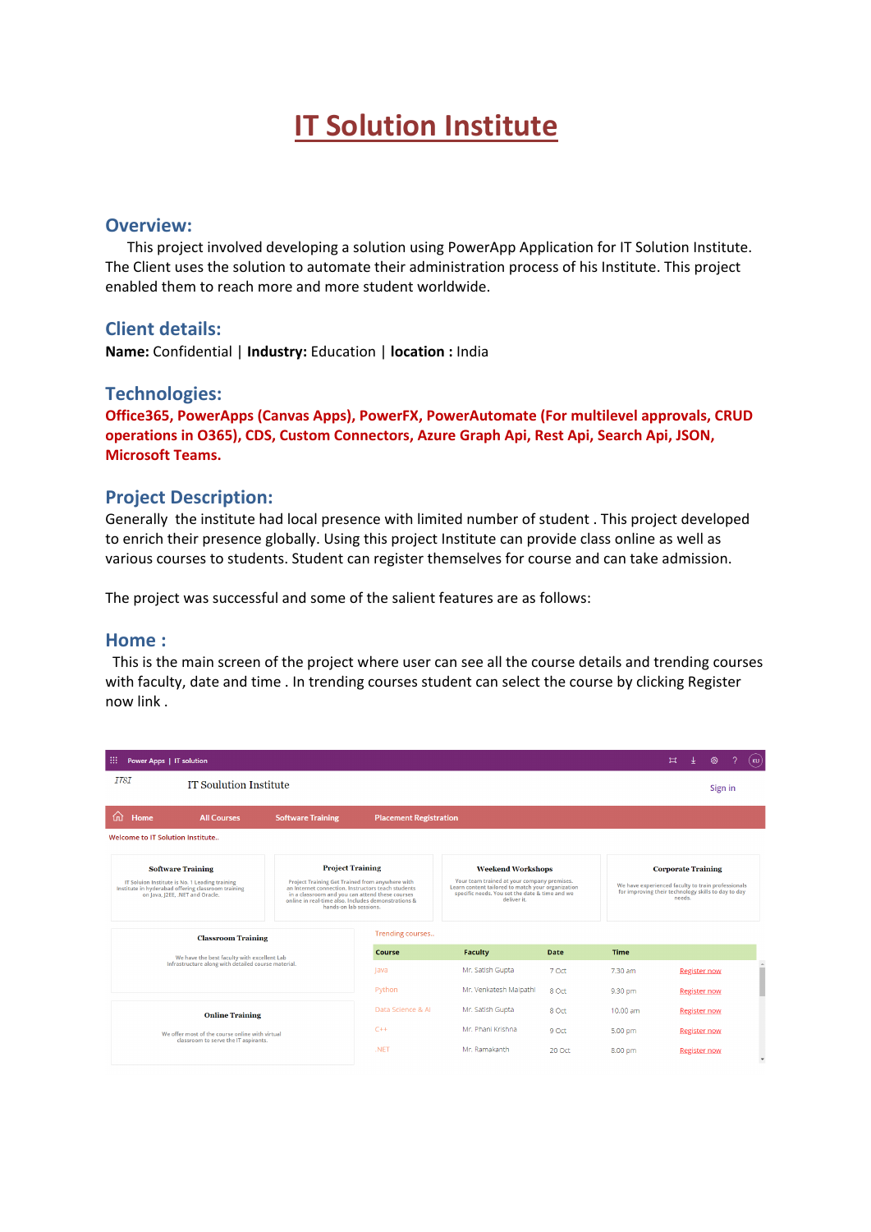# **IT Solution Institute**

#### **Overview:**

 This project involved developing a solution using PowerApp Application for IT Solution Institute. The Client uses the solution to automate their administration process of his Institute. This project enabled them to reach more and more student worldwide.

#### **Client details:**

**Name:** Confidential | **Industry:** Education | **location :** India

#### **Technologies:**

**Office365, PowerApps (Canvas Apps), PowerFX, PowerAutomate (For multilevel approvals, CRUD operations in O365), CDS, Custom Connectors, Azure Graph Api, Rest Api, Search Api, JSON, Microsoft Teams.**

#### **Project Description:**

Generally the institute had local presence with limited number of student . This project developed to enrich their presence globally. Using this project Institute can provide class online as well as various courses to students. Student can register themselves for course and can take admission.

The project was successful and some of the salient features are as follows:

#### **Home :**

 This is the main screen of the project where user can see all the course details and trending courses with faculty, date and time . In trending courses student can select the course by clicking Register now link .

| m<br>Power Apps   IT solution                                                                                                                                       |                                                                                                                                                                                                                                                                      |                                                                                                                                                                                               |                        |                    |                                                                                                                                                  | 耳 |                     | ୍ୱିତ୍ୟ  | <b>KU</b>     |
|---------------------------------------------------------------------------------------------------------------------------------------------------------------------|----------------------------------------------------------------------------------------------------------------------------------------------------------------------------------------------------------------------------------------------------------------------|-----------------------------------------------------------------------------------------------------------------------------------------------------------------------------------------------|------------------------|--------------------|--------------------------------------------------------------------------------------------------------------------------------------------------|---|---------------------|---------|---------------|
| <i><b>ITSI</b></i><br><b>IT Soulution Institute</b>                                                                                                                 |                                                                                                                                                                                                                                                                      |                                                                                                                                                                                               |                        |                    |                                                                                                                                                  |   |                     | Sign in |               |
| 屳<br>Home<br><b>All Courses</b>                                                                                                                                     | <b>Software Training</b>                                                                                                                                                                                                                                             | <b>Placement Registration</b>                                                                                                                                                                 |                        |                    |                                                                                                                                                  |   |                     |         |               |
| Welcome to IT Solution Institute                                                                                                                                    |                                                                                                                                                                                                                                                                      |                                                                                                                                                                                               |                        |                    |                                                                                                                                                  |   |                     |         |               |
| <b>Software Training</b><br>IT Soluion Institute is No. 1 Leading training<br>Institute in hyderabad offering classroom training<br>on Java, J2EE, .NET and Oracle. | <b>Project Training</b><br>Project Training Get Trained from anywhere with<br>an Internet connection. Instructors teach students<br>in a classroom and you can attend these courses<br>online in real-time also, Includes demonstrations &<br>hands-on lab sessions. | <b>Weekend Workshops</b><br>Your team trained at your company premises.<br>Learn content tailored to match your organization<br>specific needs. You set the date & time and we<br>deliver it. |                        |                    | <b>Corporate Training</b><br>We have experienced faculty to train professionals<br>for improving their technology skills to day to day<br>needs. |   |                     |         |               |
| <b>Classroom Training</b>                                                                                                                                           |                                                                                                                                                                                                                                                                      | Trending courses                                                                                                                                                                              |                        |                    |                                                                                                                                                  |   |                     |         |               |
| We have the best faculty with excellent Lab                                                                                                                         |                                                                                                                                                                                                                                                                      | Course                                                                                                                                                                                        | Faculty                | <b>Date</b>        | <b>Time</b>                                                                                                                                      |   |                     |         |               |
| Infrastructure along with detailed course material.                                                                                                                 |                                                                                                                                                                                                                                                                      | lava                                                                                                                                                                                          | Mr. Satish Gupta       | 7 Oct              | 7.30 am                                                                                                                                          |   | <b>Register now</b> |         | $\Delta$<br>m |
|                                                                                                                                                                     |                                                                                                                                                                                                                                                                      | Python                                                                                                                                                                                        | Mr. Venkatesh Malpathi | 8 Oct              | 9.30 pm                                                                                                                                          |   | <b>Register now</b> |         |               |
| <b>Online Training</b>                                                                                                                                              |                                                                                                                                                                                                                                                                      | Data Science & Al                                                                                                                                                                             | Mr. Satish Gupta       | 8 Oct              | 10.00 am                                                                                                                                         |   | <b>Register now</b> |         |               |
| We offer most of the course online with virtual                                                                                                                     |                                                                                                                                                                                                                                                                      | $C++$                                                                                                                                                                                         | 9 Oct                  | 5.00 pm            |                                                                                                                                                  |   | <b>Register now</b> |         |               |
| classroom to serve the IT aspirants.                                                                                                                                |                                                                                                                                                                                                                                                                      | .NFT                                                                                                                                                                                          | Mr. Ramakanth          | 20.0 <sub>ct</sub> | 8.00 pm                                                                                                                                          |   | <b>Register now</b> |         | $\mathbf{v}$  |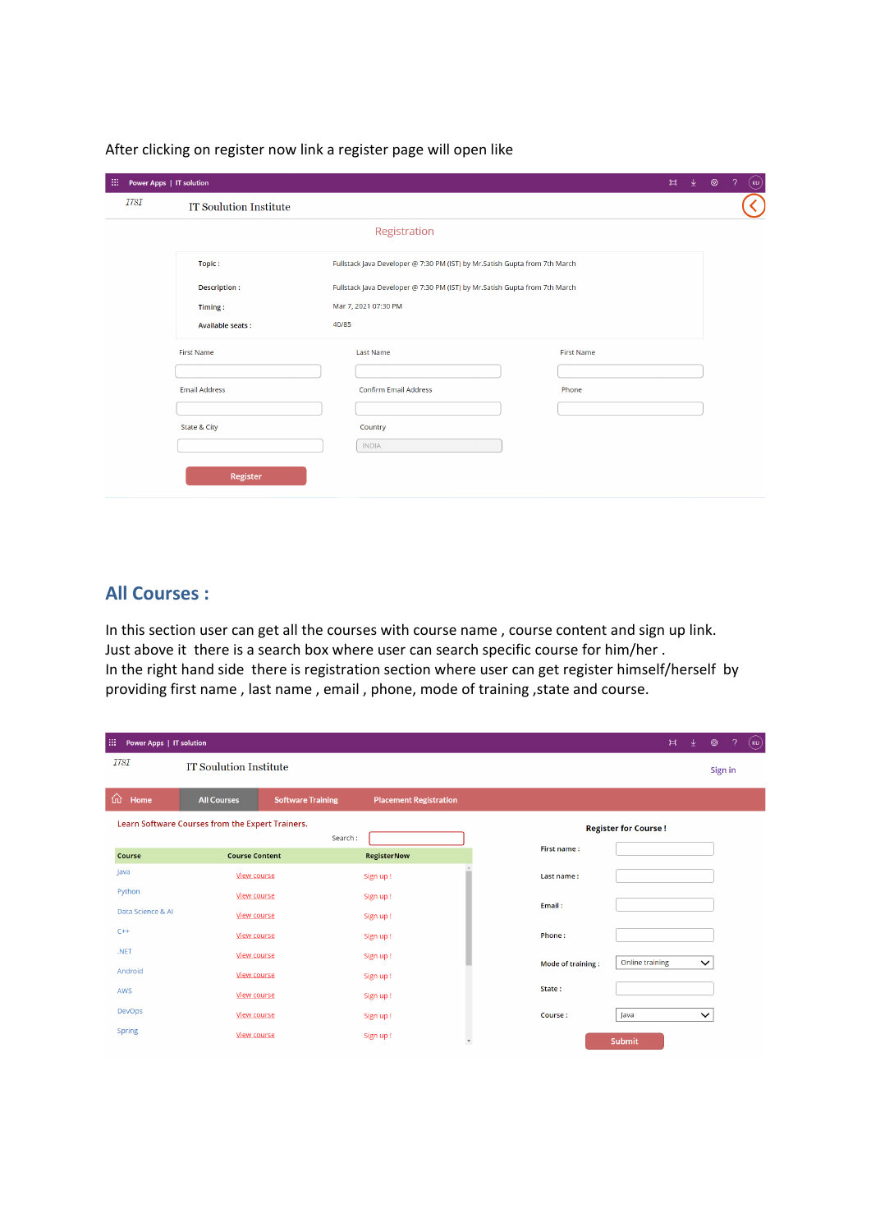After clicking on register now link a register page will open like

| 扭           | Power Apps   IT solution                                                                   |                                                                            | 业<br>$\mathbb{H}$ | 2<br>ි |  |  |  |
|-------------|--------------------------------------------------------------------------------------------|----------------------------------------------------------------------------|-------------------|--------|--|--|--|
| <b>ITSI</b> | <b>IT Soulution Institute</b>                                                              |                                                                            |                   |        |  |  |  |
|             |                                                                                            | Registration                                                               |                   |        |  |  |  |
|             | Topic:                                                                                     | Fullstack Java Developer @ 7:30 PM (IST) by Mr.Satish Gupta from 7th March |                   |        |  |  |  |
|             | Fullstack Java Developer @ 7:30 PM (IST) by Mr.Satish Gupta from 7th March<br>Description: |                                                                            |                   |        |  |  |  |
|             | Timing:                                                                                    | Mar 7, 2021 07:30 PM                                                       |                   |        |  |  |  |
|             | Available seats:                                                                           | 40/85                                                                      |                   |        |  |  |  |
|             | <b>First Name</b>                                                                          | <b>Last Name</b>                                                           | First Name        |        |  |  |  |
|             |                                                                                            |                                                                            |                   |        |  |  |  |
|             | <b>Email Address</b>                                                                       | Confirm Email Address                                                      | Phone             |        |  |  |  |
|             |                                                                                            |                                                                            |                   |        |  |  |  |
|             | State & City                                                                               | Country                                                                    |                   |        |  |  |  |
|             |                                                                                            | <b>INDIA</b>                                                               |                   |        |  |  |  |

### **All Courses :**

In this section user can get all the courses with course name , course content and sign up link. Just above it there is a search box where user can search specific course for him/her . In the right hand side there is registration section where user can get register himself/herself by providing first name , last name , email , phone, mode of training ,state and course.

| 曲<br>Power Apps   IT solution |                                                             |                          |                               |                          |                   | $\mathbb{H}$    | ↓ | ශ            | $\mathcal{P}$ | (ku |
|-------------------------------|-------------------------------------------------------------|--------------------------|-------------------------------|--------------------------|-------------------|-----------------|---|--------------|---------------|-----|
| <i>ITSI</i>                   | IT Soulution Institute                                      |                          |                               |                          |                   |                 |   | Sign in      |               |     |
| 仚<br>Home                     | <b>All Courses</b>                                          | <b>Software Training</b> | <b>Placement Registration</b> |                          |                   |                 |   |              |               |     |
|                               | Learn Software Courses from the Expert Trainers.<br>Search: |                          | <b>Register for Course!</b>   |                          |                   |                 |   |              |               |     |
| Course                        | <b>Course Content</b>                                       |                          | <b>RegisterNow</b>            |                          | First name:       |                 |   |              |               |     |
| Java                          | <b>View course</b>                                          |                          | Sign up!                      |                          | Last name:        |                 |   |              |               |     |
| Python                        | <b>View course</b>                                          |                          | Sign up!                      |                          |                   |                 |   |              |               |     |
| Data Science & Al             | <b>View course</b>                                          |                          | Sign up!                      |                          | Email:            |                 |   |              |               |     |
| $C++$                         | <b>View course</b>                                          |                          | Sign up!                      |                          | Phone:            |                 |   |              |               |     |
| .NET                          | View course                                                 |                          | Sign up!                      |                          |                   | Online training |   | $\checkmark$ |               |     |
| Android                       | <b>View course</b>                                          |                          | Sign up!                      |                          | Mode of training: |                 |   |              |               |     |
| AWS                           | <b>View course</b>                                          |                          | Sign up!                      |                          | State:            |                 |   |              |               |     |
| <b>DevOps</b>                 | <b>View course</b>                                          |                          | Sign up!                      |                          | Course:           | Java            |   | $\checkmark$ |               |     |
| <b>Spring</b>                 | <b>View course</b>                                          |                          | Sign up!                      | $\overline{\phantom{a}}$ |                   | Submit          |   |              |               |     |